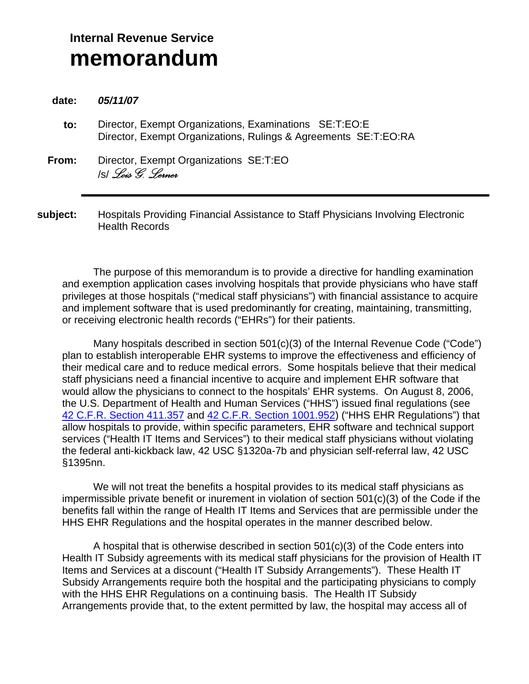## **Internal Revenue Service memorandum**

**date:** *05/11/07*  **to:** Director, Exempt Organizations, Examinations SE:T:EO:E Director, Exempt Organizations, Rulings & Agreements SE:T:EO:RA **From:** Director, Exempt Organizations SE:T:EO /s/ *Lois G. Lerner*

**subject:** Hospitals Providing Financial Assistance to Staff Physicians Involving Electronic Health Records

The purpose of this memorandum is to provide a directive for handling examination and exemption application cases involving hospitals that provide physicians who have staff privileges at those hospitals ("medical staff physicians") with financial assistance to acquire and implement software that is used predominantly for creating, maintaining, transmitting, or receiving electronic health records ("EHRs") for their patients.

Many hospitals described in section 501(c)(3) of the Internal Revenue Code ("Code") plan to establish interoperable EHR systems to improve the effectiveness and efficiency of their medical care and to reduce medical errors. Some hospitals believe that their medical staff physicians need a financial incentive to acquire and implement EHR software that would allow the physicians to connect to the hospitals' EHR systems. On August 8, 2006, the U.S. Department of Health and Human Services ("HHS") issued final regulations (see [42 C.F.R. Section 411.357](http://www.cms.hhs.gov/PhysicianSelfReferral/Downloads/CMS-1303-F.pdf) and [42 C.F.R. Section 1001.952](http://oig.hhs.gov/authorities/docs/06/OIG%20E-Prescribing%20Final%20Rule%20080806.pdf)) ("HHS EHR Regulations") that allow hospitals to provide, within specific parameters, EHR software and technical support services ("Health IT Items and Services") to their medical staff physicians without violating the federal anti-kickback law, 42 USC §1320a-7b and physician self-referral law, 42 USC §1395nn.

We will not treat the benefits a hospital provides to its medical staff physicians as impermissible private benefit or inurement in violation of section 501(c)(3) of the Code if the benefits fall within the range of Health IT Items and Services that are permissible under the HHS EHR Regulations and the hospital operates in the manner described below.

A hospital that is otherwise described in section 501(c)(3) of the Code enters into Health IT Subsidy agreements with its medical staff physicians for the provision of Health IT Items and Services at a discount ("Health IT Subsidy Arrangements"). These Health IT Subsidy Arrangements require both the hospital and the participating physicians to comply with the HHS EHR Regulations on a continuing basis. The Health IT Subsidy Arrangements provide that, to the extent permitted by law, the hospital may access all of